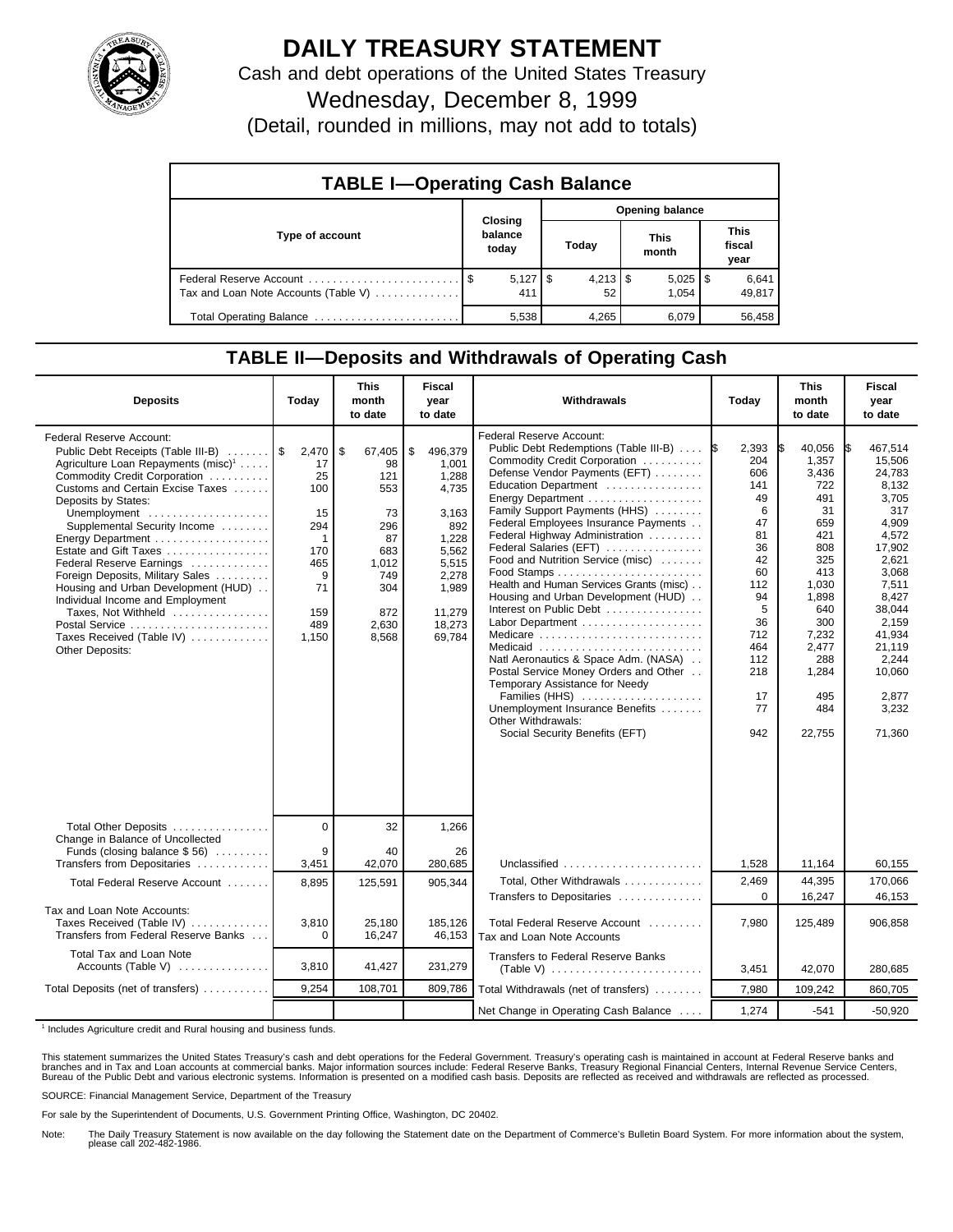

## **DAILY TREASURY STATEMENT**

Cash and debt operations of the United States Treasury

Wednesday, December 8, 1999

(Detail, rounded in millions, may not add to totals)

| <b>TABLE I-Operating Cash Balance</b> |                             |                  |                       |                        |  |  |  |  |
|---------------------------------------|-----------------------------|------------------|-----------------------|------------------------|--|--|--|--|
|                                       |                             | Opening balance  |                       |                        |  |  |  |  |
| Type of account                       | Closing<br>balance<br>today | Today            | <b>This</b><br>month  | This<br>fiscal<br>year |  |  |  |  |
| Tax and Loan Note Accounts (Table V)  | $5,127$ \$<br>411           | $4,213$ \$<br>52 | $5,025$   \$<br>1.054 | 6,641<br>49,817        |  |  |  |  |
| Total Operating Balance               | 5,538                       | 4.265            | 6.079                 | 56,458                 |  |  |  |  |

## **TABLE II—Deposits and Withdrawals of Operating Cash**

| <b>Deposits</b>                                                                                                                                                                                                                                                                                                                                                                                                                                                                                                                                | Today                                                                                                 | <b>This</b><br>month<br>to date                                                                              | <b>Fiscal</b><br>year<br>to date                                                                                                    | Withdrawals                                                                                                                                                                                                                                                                                                                                                                                                                                                                                                                                                                                                                                                                                               | Today                                                                                                                                             | <b>This</b><br>month<br>to date                                                                                                                                           | <b>Fiscal</b><br>year<br>to date                                                                                                                                                                                  |
|------------------------------------------------------------------------------------------------------------------------------------------------------------------------------------------------------------------------------------------------------------------------------------------------------------------------------------------------------------------------------------------------------------------------------------------------------------------------------------------------------------------------------------------------|-------------------------------------------------------------------------------------------------------|--------------------------------------------------------------------------------------------------------------|-------------------------------------------------------------------------------------------------------------------------------------|-----------------------------------------------------------------------------------------------------------------------------------------------------------------------------------------------------------------------------------------------------------------------------------------------------------------------------------------------------------------------------------------------------------------------------------------------------------------------------------------------------------------------------------------------------------------------------------------------------------------------------------------------------------------------------------------------------------|---------------------------------------------------------------------------------------------------------------------------------------------------|---------------------------------------------------------------------------------------------------------------------------------------------------------------------------|-------------------------------------------------------------------------------------------------------------------------------------------------------------------------------------------------------------------|
| Federal Reserve Account:<br>Public Debt Receipts (Table III-B)<br>Agriculture Loan Repayments (misc) <sup>1</sup><br>Commodity Credit Corporation<br>Customs and Certain Excise Taxes<br>Deposits by States:<br>Unemployment<br>Supplemental Security Income<br>Energy Department<br>Estate and Gift Taxes<br>Federal Reserve Earnings<br>Foreign Deposits, Military Sales<br>Housing and Urban Development (HUD)<br>Individual Income and Employment<br>Taxes, Not Withheld<br>Postal Service<br>Taxes Received (Table IV)<br>Other Deposits: | 2,470<br>17<br>25<br>100<br>15<br>294<br>$\mathbf{1}$<br>170<br>465<br>9<br>71<br>159<br>489<br>1,150 | l \$<br>67,405<br>98<br>121<br>553<br>73<br>296<br>87<br>683<br>1,012<br>749<br>304<br>872<br>2,630<br>8,568 | \$<br>496,379<br>1.001<br>1.288<br>4,735<br>3.163<br>892<br>1.228<br>5,562<br>5,515<br>2,278<br>1.989<br>11.279<br>18,273<br>69.784 | Federal Reserve Account:<br>Public Debt Redemptions (Table III-B)<br>Commodity Credit Corporation<br>Defense Vendor Payments (EFT)<br>Education Department<br>Family Support Payments (HHS)<br>Federal Employees Insurance Payments<br>Federal Highway Administration<br>Federal Salaries (EFT)<br>Food and Nutrition Service (misc)<br>Health and Human Services Grants (misc)<br>Housing and Urban Development (HUD)<br>Interest on Public Debt<br>Medicare<br>Medicaid<br>Natl Aeronautics & Space Adm. (NASA)<br>Postal Service Money Orders and Other<br>Temporary Assistance for Needy<br>Families (HHS)<br>Unemployment Insurance Benefits<br>Other Withdrawals:<br>Social Security Benefits (EFT) | 2,393<br>1\$<br>204<br>606<br>141<br>49<br>6<br>47<br>81<br>36<br>42<br>60<br>112<br>94<br>5<br>36<br>712<br>464<br>112<br>218<br>17<br>77<br>942 | 40,056<br>1.357<br>3,436<br>722<br>491<br>31<br>659<br>421<br>808<br>325<br>413<br>1,030<br>1,898<br>640<br>300<br>7,232<br>2,477<br>288<br>1,284<br>495<br>484<br>22,755 | 467.514<br>IS.<br>15.506<br>24,783<br>8,132<br>3.705<br>317<br>4,909<br>4,572<br>17.902<br>2.621<br>3,068<br>7,511<br>8.427<br>38.044<br>2,159<br>41,934<br>21.119<br>2.244<br>10,060<br>2,877<br>3,232<br>71,360 |
| Total Other Deposits                                                                                                                                                                                                                                                                                                                                                                                                                                                                                                                           | $\Omega$                                                                                              | 32                                                                                                           | 1,266                                                                                                                               |                                                                                                                                                                                                                                                                                                                                                                                                                                                                                                                                                                                                                                                                                                           |                                                                                                                                                   |                                                                                                                                                                           |                                                                                                                                                                                                                   |
| Change in Balance of Uncollected<br>Funds (closing balance \$56)<br>Transfers from Depositaries                                                                                                                                                                                                                                                                                                                                                                                                                                                | 9<br>3,451                                                                                            | 40<br>42,070                                                                                                 | 26<br>280,685                                                                                                                       | Unclassified                                                                                                                                                                                                                                                                                                                                                                                                                                                                                                                                                                                                                                                                                              | 1,528                                                                                                                                             | 11,164                                                                                                                                                                    | 60,155                                                                                                                                                                                                            |
| Total Federal Reserve Account                                                                                                                                                                                                                                                                                                                                                                                                                                                                                                                  | 8,895                                                                                                 | 125,591                                                                                                      | 905,344                                                                                                                             | Total, Other Withdrawals                                                                                                                                                                                                                                                                                                                                                                                                                                                                                                                                                                                                                                                                                  | 2,469                                                                                                                                             | 44,395                                                                                                                                                                    | 170,066                                                                                                                                                                                                           |
| Tax and Loan Note Accounts:<br>Taxes Received (Table IV)<br>Transfers from Federal Reserve Banks                                                                                                                                                                                                                                                                                                                                                                                                                                               | 3,810<br>$\Omega$                                                                                     | 25,180<br>16,247                                                                                             | 185,126<br>46,153                                                                                                                   | Transfers to Depositaries<br>Total Federal Reserve Account<br>Tax and Loan Note Accounts                                                                                                                                                                                                                                                                                                                                                                                                                                                                                                                                                                                                                  | $\Omega$<br>7,980                                                                                                                                 | 16,247<br>125,489                                                                                                                                                         | 46,153<br>906,858                                                                                                                                                                                                 |
| Total Tax and Loan Note<br>Accounts (Table V)                                                                                                                                                                                                                                                                                                                                                                                                                                                                                                  | 3,810                                                                                                 | 41,427                                                                                                       | 231,279                                                                                                                             | <b>Transfers to Federal Reserve Banks</b>                                                                                                                                                                                                                                                                                                                                                                                                                                                                                                                                                                                                                                                                 | 3,451                                                                                                                                             | 42,070                                                                                                                                                                    | 280,685                                                                                                                                                                                                           |
| Total Deposits (net of transfers)                                                                                                                                                                                                                                                                                                                                                                                                                                                                                                              | 9.254                                                                                                 | 108,701                                                                                                      | 809,786                                                                                                                             | Total Withdrawals (net of transfers)                                                                                                                                                                                                                                                                                                                                                                                                                                                                                                                                                                                                                                                                      | 7,980                                                                                                                                             | 109,242                                                                                                                                                                   | 860,705                                                                                                                                                                                                           |
|                                                                                                                                                                                                                                                                                                                                                                                                                                                                                                                                                |                                                                                                       |                                                                                                              |                                                                                                                                     | Net Change in Operating Cash Balance                                                                                                                                                                                                                                                                                                                                                                                                                                                                                                                                                                                                                                                                      | 1,274                                                                                                                                             | $-541$                                                                                                                                                                    | $-50,920$                                                                                                                                                                                                         |

<sup>1</sup> Includes Agriculture credit and Rural housing and business funds.

This statement summarizes the United States Treasury's cash and debt operations for the Federal Government. Treasury's operating cash is maintained in account at Federal Reserve banks and<br>branches and in Tax and Loan accou

SOURCE: Financial Management Service, Department of the Treasury

For sale by the Superintendent of Documents, U.S. Government Printing Office, Washington, DC 20402.

Note: The Daily Treasury Statement is now available on the day following the Statement date on the Department of Commerce's Bulletin Board System. For more information about the system, please call 202-482-1986.